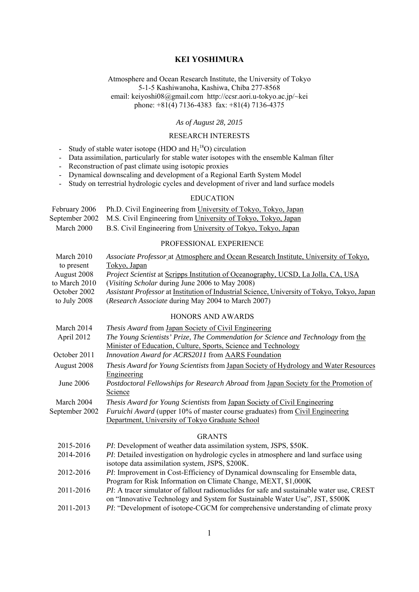## **KEI YOSHIMURA**

Atmosphere and Ocean Research Institute, the University of Tokyo 5-1-5 Kashiwanoha, Kashiwa, Chiba 277-8568 email: keiyoshi08@gmail.com http://ccsr.aori.u-tokyo.ac.jp/~kei phone:  $+81(4)$  7136-4383 fax:  $+81(4)$  7136-4375

#### *As of August 28, 2015*

### RESEARCH INTERESTS

- Study of stable water isotope (HDO and  $H_2^{18}O$ ) circulation
- Data assimilation, particularly for stable water isotopes with the ensemble Kalman filter
- Reconstruction of past climate using isotopic proxies
- Dynamical downscaling and development of a Regional Earth System Model
- Study on terrestrial hydrologic cycles and development of river and land surface models

# EDUCATION

| February 2006 | Ph.D. Civil Engineering from University of Tokyo, Tokyo, Japan               |
|---------------|------------------------------------------------------------------------------|
|               | September 2002 M.S. Civil Engineering from University of Tokyo, Tokyo, Japan |
| March 2000    | B.S. Civil Engineering from University of Tokyo, Tokyo, Japan                |

## PROFESSIONAL EXPERIENCE

| March 2010    | Associate Professor at Atmosphere and Ocean Research Institute, University of Tokyo,        |
|---------------|---------------------------------------------------------------------------------------------|
| to present    | Tokyo, Japan                                                                                |
| August 2008   | <i>Project Scientist</i> at Scripps Institution of Oceanography, UCSD, La Jolla, CA, USA    |
| to March 2010 | ( <i>Visiting Scholar during June 2006 to May 2008</i> )                                    |
| October 2002  | Assistant Professor at Institution of Industrial Science, University of Tokyo, Tokyo, Japan |
| to July 2008  | <i>(Research Associate during May 2004 to March 2007)</i>                                   |

## HONORS AND AWARDS

| March 2014     | Thesis Award from Japan Society of Civil Engineering                                                        |
|----------------|-------------------------------------------------------------------------------------------------------------|
| April 2012     | The Young Scientists' Prize, The Commendation for Science and Technology from the                           |
|                | Minister of Education, Culture, Sports, Science and Technology                                              |
| October 2011   | Innovation Award for ACRS2011 from AARS Foundation                                                          |
| August 2008    | <i>Thesis Award for Young Scientists</i> from Japan Society of Hydrology and Water Resources<br>Engineering |
| June 2006      | <i>Postdoctoral Fellowships for Research Abroad from Japan Society for the Promotion of</i><br>Science      |
| March 2004     | <i>Thesis Award for Young Scientists</i> from Japan Society of Civil Engineering                            |
| September 2002 | <i>Furuichi Award</i> (upper 10% of master course graduates) from Civil Engineering                         |
|                | Department, University of Tokyo Graduate School                                                             |
|                | <b>GRANTS</b>                                                                                               |
| 2015-2016      | PI: Development of weather data assimilation system, JSPS, \$50K.                                           |
| 2014-2016      | <i>PI</i> : Detailed investigation on hydrologic cycles in atmosphere and land surface using                |
|                | isotope data assimilation system, JSPS, \$200K.                                                             |
| 2012-2016      | <i>PI</i> : Improvement in Cost-Efficiency of Dynamical downscaling for Ensemble data,                      |
|                | Program for Risk Information on Climate Change, MEXT, \$1,000K                                              |

2011-2013 *PI*: "Development of isotope-CGCM for comprehensive understanding of climate proxy

<sup>2011-2016</sup> *PI*: A tracer simulator of fallout radionuclides for safe and sustainable water use, CREST on "Innovative Technology and System for Sustainable Water Use", JST, \$500K